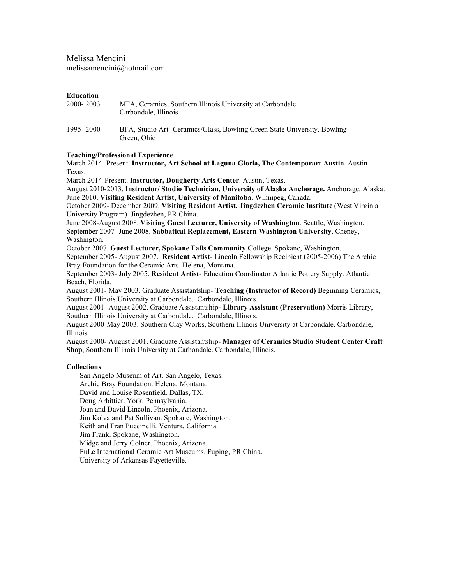Melissa Mencini melissamencini@hotmail.com

#### **Education**

| 2000-2003   | MFA, Ceramics, Southern Illinois University at Carbondale.<br>Carbondale, Illinois      |
|-------------|-----------------------------------------------------------------------------------------|
| 1995 - 2000 | BFA, Studio Art- Ceramics/Glass, Bowling Green State University. Bowling<br>Green, Ohio |

### **Teaching/Professional Experience**

March 2014- Present. **Instructor, Art School at Laguna Gloria, The Contemporart Austin**. Austin Texas.

March 2014-Present. **Instructor, Dougherty Arts Center**. Austin, Texas.

August 2010-2013. **Instructor/ Studio Technician, University of Alaska Anchorage.** Anchorage, Alaska. June 2010. **Visiting Resident Artist, University of Manitoba.** Winnipeg, Canada.

October 2009- December 2009. **Visiting Resident Artist, Jingdezhen Ceramic Institute** (West Virginia University Program). Jingdezhen, PR China.

June 2008-August 2008. **Visiting Guest Lecturer, University of Washington**. Seattle, Washington. September 2007- June 2008. **Sabbatical Replacement, Eastern Washington University**. Cheney, Washington.

October 2007. **Guest Lecturer, Spokane Falls Community College**. Spokane, Washington.

September 2005- August 2007. **Resident Artist**- Lincoln Fellowship Recipient (2005-2006) The Archie Bray Foundation for the Ceramic Arts. Helena, Montana.

September 2003- July 2005. **Resident Artist**- Education Coordinator Atlantic Pottery Supply. Atlantic Beach, Florida.

August 2001- May 2003. Graduate Assistantship- **Teaching (Instructor of Record)** Beginning Ceramics, Southern Illinois University at Carbondale. Carbondale, Illinois.

August 2001- August 2002. Graduate Assistantship**- Library Assistant (Preservation)** Morris Library, Southern Illinois University at Carbondale. Carbondale, Illinois.

August 2000-May 2003. Southern Clay Works, Southern Illinois University at Carbondale. Carbondale, Illinois.

August 2000- August 2001. Graduate Assistantship- **Manager of Ceramics Studio Student Center Craft Shop**, Southern Illinois University at Carbondale. Carbondale, Illinois.

### **Collections**

San Angelo Museum of Art. San Angelo, Texas. Archie Bray Foundation. Helena, Montana. David and Louise Rosenfield. Dallas, TX. Doug Arbittier. York, Pennsylvania. Joan and David Lincoln. Phoenix, Arizona. Jim Kolva and Pat Sullivan. Spokane, Washington. Keith and Fran Puccinelli. Ventura, California. Jim Frank. Spokane, Washington. Midge and Jerry Golner. Phoenix, Arizona. FuLe International Ceramic Art Museums. Fuping, PR China. University of Arkansas Fayetteville.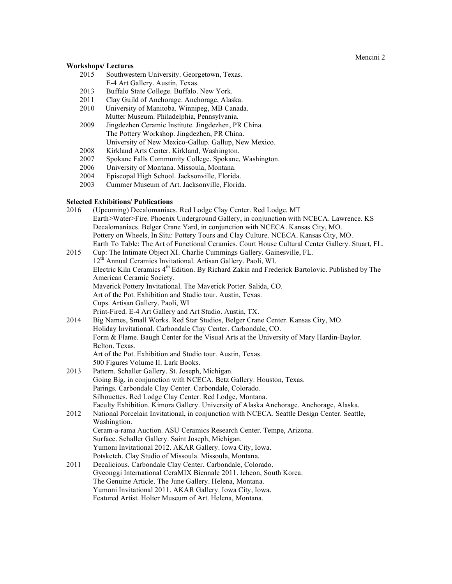Mencini 2

## **Workshops/ Lectures**

- 2015 Southwestern University. Georgetown, Texas. E-4 Art Gallery. Austin, Texas.
- 2013 Buffalo State College. Buffalo. New York.
- 2011 Clay Guild of Anchorage. Anchorage, Alaska.
- 2010 University of Manitoba. Winnipeg, MB Canada. Mutter Museum. Philadelphia, Pennsylvania.
- 2009 Jingdezhen Ceramic Institute. Jingdezhen, PR China. The Pottery Workshop. Jingdezhen, PR China. University of New Mexico-Gallup. Gallup, New Mexico.
- 2008 Kirkland Arts Center. Kirkland, Washington.
- 2007 Spokane Falls Community College. Spokane, Washington.
- 2006 University of Montana. Missoula, Montana.
- Episcopal High School. Jacksonville, Florida.
- 2003 Cummer Museum of Art. Jacksonville, Florida.

# **Selected Exhibitions/ Publications**

| 2016 | (Upcoming) Decalomaniacs. Red Lodge Clay Center. Red Lodge. MT                                              |
|------|-------------------------------------------------------------------------------------------------------------|
|      | Earth>Water>Fire. Phoenix Underground Gallery, in conjunction with NCECA. Lawrence. KS                      |
|      | Decalomaniacs. Belger Crane Yard, in conjunction with NCECA. Kansas City, MO.                               |
|      | Pottery on Wheels, In Situ: Pottery Tours and Clay Culture. NCECA. Kansas City, MO.                         |
|      | Earth To Table: The Art of Functional Ceramics. Court House Cultural Center Gallery. Stuart, FL.            |
| 2015 | Cup: The Intimate Object XI. Charlie Cummings Gallery. Gainesville, FL.                                     |
|      | 12 <sup>th</sup> Annual Ceramics Invitational. Artisan Gallery. Paoli, WI.                                  |
|      | Electric Kiln Ceramics 4 <sup>th</sup> Edition. By Richard Zakin and Frederick Bartolovic. Published by The |
|      | American Ceramic Society.                                                                                   |
|      | Maverick Pottery Invitational. The Maverick Potter. Salida, CO.                                             |
|      | Art of the Pot. Exhibition and Studio tour. Austin, Texas.                                                  |
|      | Cups. Artisan Gallery. Paoli, WI                                                                            |
|      | Print-Fired. E-4 Art Gallery and Art Studio. Austin, TX.                                                    |
| 2014 | Big Names, Small Works. Red Star Studios, Belger Crane Center. Kansas City, MO.                             |
|      | Holiday Invitational. Carbondale Clay Center. Carbondale, CO.                                               |
|      | Form & Flame. Baugh Center for the Visual Arts at the University of Mary Hardin-Baylor.                     |
|      | Belton. Texas.                                                                                              |
|      | Art of the Pot. Exhibition and Studio tour. Austin, Texas.                                                  |
|      | 500 Figures Volume II. Lark Books.                                                                          |
| 2013 | Pattern. Schaller Gallery. St. Joseph, Michigan.                                                            |
|      | Going Big, in conjunction with NCECA. Betz Gallery. Houston, Texas.                                         |
|      | Parings. Carbondale Clay Center. Carbondale, Colorado.                                                      |
|      | Silhouettes. Red Lodge Clay Center. Red Lodge, Montana.                                                     |
|      | Faculty Exhibition. Kimora Gallery. University of Alaska Anchorage. Anchorage, Alaska.                      |
| 2012 | National Porcelain Invitational, in conjunction with NCECA. Seattle Design Center. Seattle,                 |
|      | Washingtion.                                                                                                |
|      | Ceram-a-rama Auction. ASU Ceramics Research Center. Tempe, Arizona.                                         |
|      | Surface. Schaller Gallery. Saint Joseph, Michigan.                                                          |
|      | Yumoni Invitational 2012. AKAR Gallery. Iowa City, Iowa.                                                    |
|      | Potsketch. Clay Studio of Missoula. Missoula, Montana.                                                      |
| 2011 | Decalicious. Carbondale Clay Center. Carbondale, Colorado.                                                  |
|      | Gyeonggi International CeraMIX Biennale 2011. Icheon, South Korea.                                          |
|      | The Genuine Article. The June Gallery. Helena, Montana.                                                     |
|      | Yumoni Invitational 2011. AKAR Gallery. Iowa City, Iowa.                                                    |
|      | Featured Artist. Holter Museum of Art. Helena, Montana.                                                     |